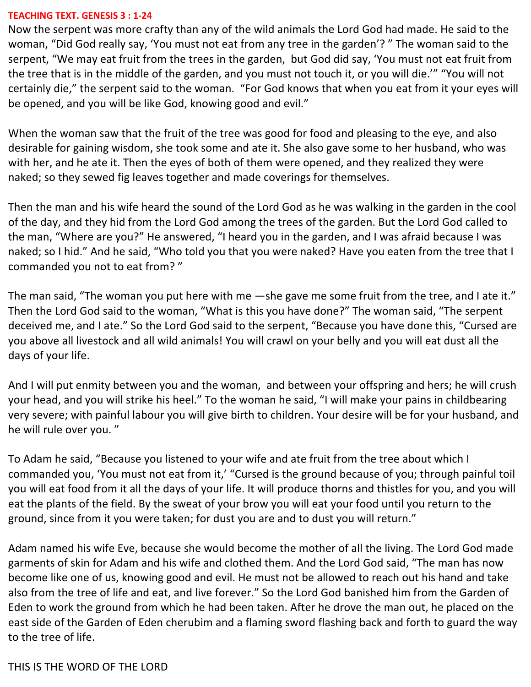#### **TEACHING TEXT. GENESIS 3 : 1-24**

Now the serpent was more crafty than any of the wild animals the Lord God had made. He said to the woman, "Did God really say, 'You must not eat from any tree in the garden'? " The woman said to the serpent, "We may eat fruit from the trees in the garden, but God did say, 'You must not eat fruit from the tree that is in the middle of the garden, and you must not touch it, or you will die.'" "You will not certainly die," the serpent said to the woman. "For God knows that when you eat from it your eyes will be opened, and you will be like God, knowing good and evil."

When the woman saw that the fruit of the tree was good for food and pleasing to the eye, and also desirable for gaining wisdom, she took some and ate it. She also gave some to her husband, who was with her, and he ate it. Then the eyes of both of them were opened, and they realized they were naked; so they sewed fig leaves together and made coverings for themselves.

Then the man and his wife heard the sound of the Lord God as he was walking in the garden in the cool of the day, and they hid from the Lord God among the trees of the garden. But the Lord God called to the man, "Where are you?" He answered, "I heard you in the garden, and I was afraid because I was naked; so I hid." And he said, "Who told you that you were naked? Have you eaten from the tree that I commanded you not to eat from? "

The man said, "The woman you put here with me —she gave me some fruit from the tree, and I ate it." Then the Lord God said to the woman, "What is this you have done?" The woman said, "The serpent deceived me, and I ate." So the Lord God said to the serpent, "Because you have done this, "Cursed are you above all livestock and all wild animals! You will crawl on your belly and you will eat dust all the days of your life.

And I will put enmity between you and the woman, and between your offspring and hers; he will crush your head, and you will strike his heel." To the woman he said, "I will make your pains in childbearing very severe; with painful labour you will give birth to children. Your desire will be for your husband, and he will rule over you. "

To Adam he said, "Because you listened to your wife and ate fruit from the tree about which I commanded you, 'You must not eat from it,' "Cursed is the ground because of you; through painful toil you will eat food from it all the days of your life. It will produce thorns and thistles for you, and you will eat the plants of the field. By the sweat of your brow you will eat your food until you return to the ground, since from it you were taken; for dust you are and to dust you will return."

Adam named his wife Eve, because she would become the mother of all the living. The Lord God made garments of skin for Adam and his wife and clothed them. And the Lord God said, "The man has now become like one of us, knowing good and evil. He must not be allowed to reach out his hand and take also from the tree of life and eat, and live forever." So the Lord God banished him from the Garden of Eden to work the ground from which he had been taken. After he drove the man out, he placed on the east side of the Garden of Eden cherubim and a flaming sword flashing back and forth to guard the way to the tree of life.

THIS IS THE WORD OF THE LORD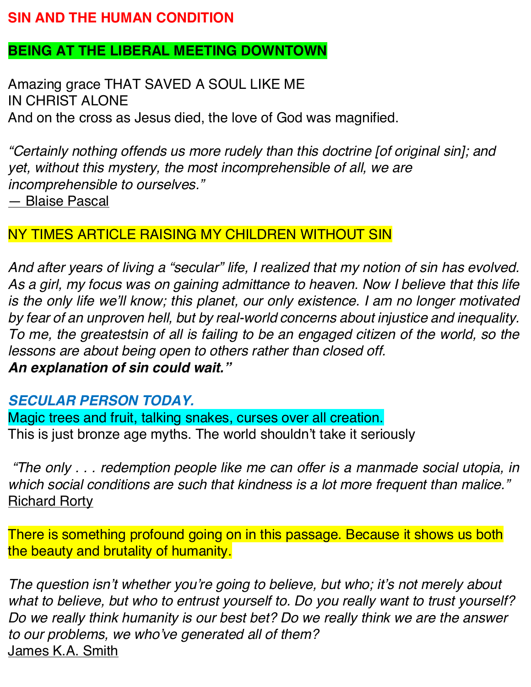#### **SIN AND THE HUMAN CONDITION**

#### **BEING AT THE LIBERAL MEETING DOWNTOWN**

Amazing grace THAT SAVED A SOUL LIKE ME IN CHRIST ALONE And on the cross as Jesus died, the love of God was magnified.

*"Certainly nothing offends us more rudely than this doctrine [of original sin]; and yet, without this mystery, the most incomprehensible of all, we are incomprehensible to ourselves."* — Blaise Pascal

#### NY TIMES ARTICLE RAISING MY CHILDREN WITHOUT SIN

*And after years of living a "secular" life, I realized that my notion of sin has evolved.*  As a girl, my focus was on gaining admittance to heaven. Now I believe that this life *is the only life we'll know; this planet, our only existence. I am no longer motivated by fear of an unproven hell, but by real-world concerns about injustice and inequality. To me, the greatestsin of all is failing to be an engaged citizen of the world, so the lessons are about being open to others rather than closed off. An explanation of sin could wait."*

#### *SECULAR PERSON TODAY.*

Magic trees and fruit, talking snakes, curses over all creation. This is just bronze age myths. The world shouldn't take it seriously

*"The only . . . redemption people like me can offer is a manmade social utopia, in which social conditions are such that kindness is a lot more frequent than malice."* Richard Rorty

There is something profound going on in this passage. Because it shows us both the beauty and brutality of humanity.

*The question isn't whether you're going to believe, but who; it's not merely about what to believe, but who to entrust yourself to. Do you really want to trust yourself? Do we really think humanity is our best bet? Do we really think we are the answer to our problems, we who've generated all of them?* James K.A. Smith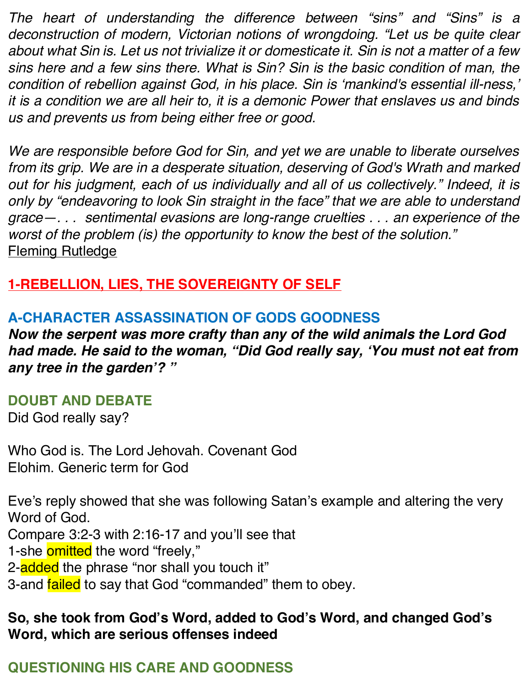*The heart of understanding the difference between "sins" and "Sins" is a deconstruction of modern, Victorian notions of wrongdoing. "Let us be quite clear about what Sin is. Let us not trivialize it or domesticate it. Sin is not a matter of a few sins here and a few sins there. What is Sin? Sin is the basic condition of man, the condition of rebellion against God, in his place. Sin is 'mankind's essential ill-ness,' it is a condition we are all heir to, it is a demonic Power that enslaves us and binds us and prevents us from being either free or good.* 

*We are responsible before God for Sin, and yet we are unable to liberate ourselves from its grip. We are in a desperate situation, deserving of God's Wrath and marked out for his judgment, each of us individually and all of us collectively." Indeed, it is only by "endeavoring to look Sin straight in the face" that we are able to understand grace—. . . sentimental evasions are long-range cruelties . . . an experience of the worst of the problem (is) the opportunity to know the best of the solution."* Fleming Rutledge

### **1-REBELLION, LIES, THE SOVEREIGNTY OF SELF**

### **A-CHARACTER ASSASSINATION OF GODS GOODNESS**

*Now the serpent was more crafty than any of the wild animals the Lord God had made. He said to the woman, "Did God really say, 'You must not eat from any tree in the garden'? "*

#### **DOUBT AND DEBATE**

Did God really say?

Who God is. The Lord Jehovah. Covenant God Elohim. Generic term for God

Eve's reply showed that she was following Satan's example and altering the very Word of God. Compare 3:2-3 with 2:16-17 and you'll see that

- 1-she omitted the word "freely,"
- 2-added the phrase "nor shall you touch it"
- 3-and failed to say that God "commanded" them to obey.

### **So, she took from God's Word, added to God's Word, and changed God's Word, which are serious offenses indeed**

# **QUESTIONING HIS CARE AND GOODNESS**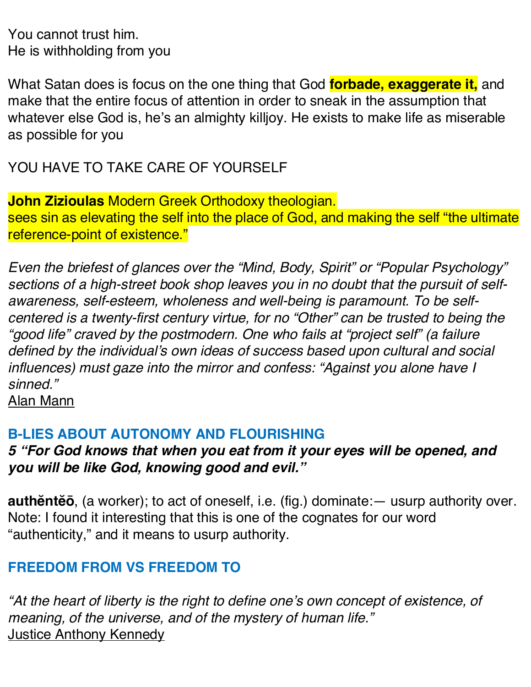You cannot trust him. He is withholding from you

What Satan does is focus on the one thing that God **forbade, exaggerate it,** and make that the entire focus of attention in order to sneak in the assumption that whatever else God is, he's an almighty killjoy. He exists to make life as miserable as possible for you

YOU HAVE TO TAKE CARE OF YOURSELF

**John Zizioulas** Modern Greek Orthodoxy theologian. sees sin as elevating the self into the place of God, and making the self "the ultimate reference-point of existence."

*Even the briefest of glances over the "Mind, Body, Spirit" or "Popular Psychology" sections of a high-street book shop leaves you in no doubt that the pursuit of selfawareness, self-esteem, wholeness and well-being is paramount. To be selfcentered is a twenty-first century virtue, for no "Other" can be trusted to being the "good life" craved by the postmodern. One who fails at "project self" (a failure defined by the individual's own ideas of success based upon cultural and social influences) must gaze into the mirror and confess: "Against you alone have I sinned."*

Alan Mann

## **B-LIES ABOUT AUTONOMY AND FLOURISHING**

*5 "For God knows that when you eat from it your eyes will be opened, and you will be like God, knowing good and evil."*

**authĕntĕō**, (a worker); to act of oneself, i.e. (fig.) dominate:— usurp authority over. Note: I found it interesting that this is one of the cognates for our word "authenticity," and it means to usurp authority.

# **FREEDOM FROM VS FREEDOM TO**

*"At the heart of liberty is the right to define one's own concept of existence, of meaning, of the universe, and of the mystery of human life."* Justice Anthony Kennedy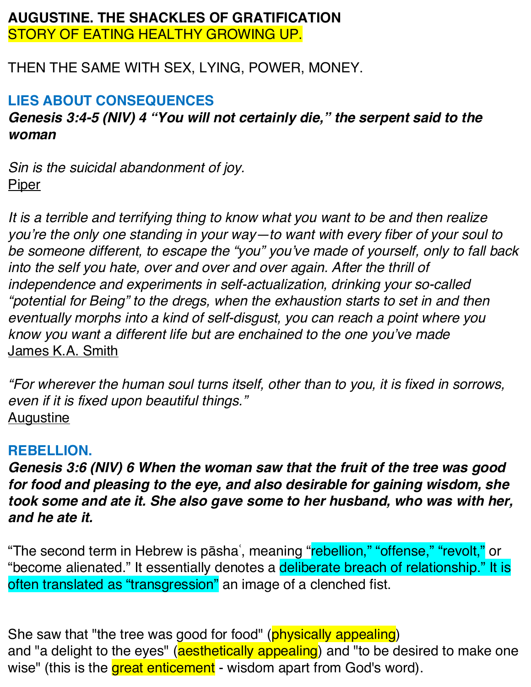#### **AUGUSTINE. THE SHACKLES OF GRATIFICATION** STORY OF EATING HEALTHY GROWING UP.

THEN THE SAME WITH SEX, LYING, POWER, MONEY.

### **LIES ABOUT CONSEQUENCES**

### *Genesis 3:4-5 (NIV) 4 "You will not certainly die," the serpent said to the woman*

*Sin is the suicidal abandonment of joy.* **Piper** 

*It is a terrible and terrifying thing to know what you want to be and then realize you're the only one standing in your way—to want with every fiber of your soul to be someone different, to escape the "you" you've made of yourself, only to fall back into the self you hate, over and over and over again. After the thrill of independence and experiments in self-actualization, drinking your so-called "potential for Being" to the dregs, when the exhaustion starts to set in and then eventually morphs into a kind of self-disgust, you can reach a point where you know you want a different life but are enchained to the one you've made* James K.A. Smith

*"For wherever the human soul turns itself, other than to you, it is fixed in sorrows, even if it is fixed upon beautiful things."* **Augustine** 

### **REBELLION.**

*Genesis 3:6 (NIV) 6 When the woman saw that the fruit of the tree was good for food and pleasing to the eye, and also desirable for gaining wisdom, she took some and ate it. She also gave some to her husband, who was with her, and he ate it.*

"The second term in Hebrew is pāshaʿ, meaning "rebellion," "offense," "revolt," or "become alienated." It essentially denotes a deliberate breach of relationship." It is often translated as "transgression" an image of a clenched fist.

She saw that "the tree was good for food" (physically appealing) and "a delight to the eyes" (aesthetically appealing) and "to be desired to make one wise" (this is the great enticement - wisdom apart from God's word).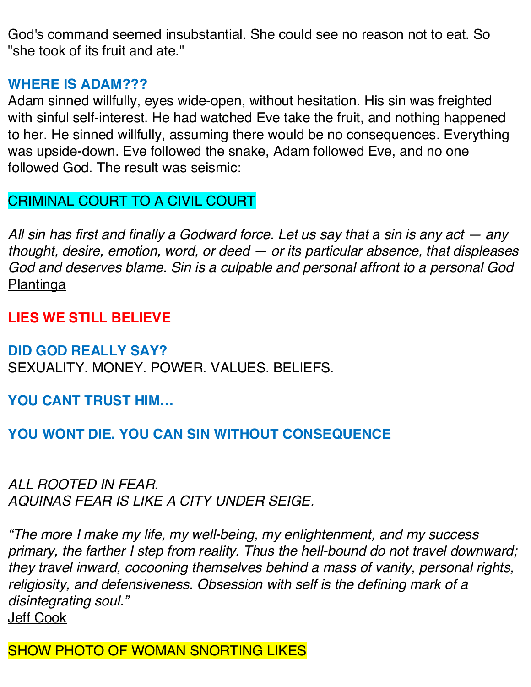God's command seemed insubstantial. She could see no reason not to eat. So "she took of its fruit and ate."

#### **WHERE IS ADAM???**

Adam sinned willfully, eyes wide-open, without hesitation. His sin was freighted with sinful self-interest. He had watched Eve take the fruit, and nothing happened to her. He sinned willfully, assuming there would be no consequences. Everything was upside-down. Eve followed the snake, Adam followed Eve, and no one followed God. The result was seismic:

### CRIMINAL COURT TO A CIVIL COURT

*All sin has first and finally a Godward force. Let us say that a sin is any act — any thought, desire, emotion, word, or deed — or its particular absence, that displeases God and deserves blame. Sin is a culpable and personal affront to a personal God* Plantinga

### **LIES WE STILL BELIEVE**

#### **DID GOD REALLY SAY?**

SEXUALITY. MONEY. POWER. VALUES. BELIEFS.

**YOU CANT TRUST HIM…**

### **YOU WONT DIE. YOU CAN SIN WITHOUT CONSEQUENCE**

*ALL ROOTED IN FEAR. AQUINAS FEAR IS LIKE A CITY UNDER SEIGE.*

*"The more I make my life, my well-being, my enlightenment, and my success primary, the farther I step from reality. Thus the hell-bound do not travel downward; they travel inward, cocooning themselves behind a mass of vanity, personal rights, religiosity, and defensiveness. Obsession with self is the defining mark of a disintegrating soul."*  Jeff Cook

SHOW PHOTO OF WOMAN SNORTING LIKES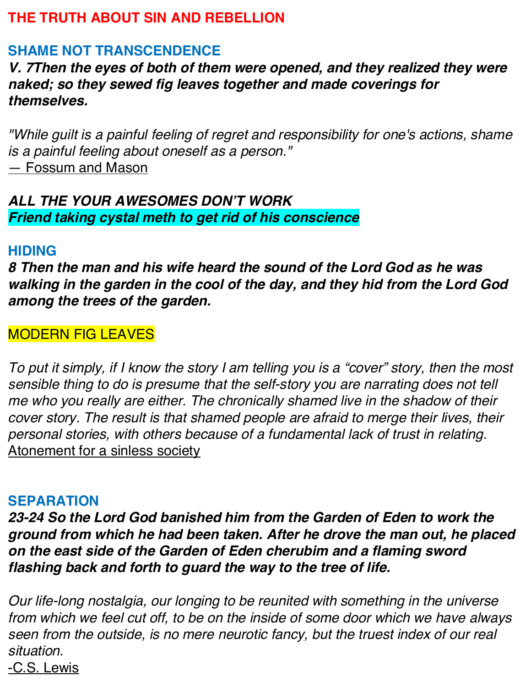### **THE TRUTH ABOUT SIN AND REBELLION**

# **SHAME NOT TRANSCENDENCE**

*V. 7Then the eyes of both of them were opened, and they realized they were naked; so they sewed fig leaves together and made coverings for themselves.*

*"While guilt is a painful feeling of regret and responsibility for one's actions, shame is a painful feeling about oneself as a person."* — Fossum and Mason

### *ALL THE YOUR AWESOMES DON'T WORK Friend taking cystal meth to get rid of his conscience*

#### **HIDING**

*8 Then the man and his wife heard the sound of the Lord God as he was walking in the garden in the cool of the day, and they hid from the Lord God among the trees of the garden.*

### MODERN FIG LEAVES

*To put it simply, if I know the story I am telling you is a "cover" story, then the most sensible thing to do is presume that the self-story you are narrating does not tell me who you really are either. The chronically shamed live in the shadow of their*  cover story. The result is that shamed people are afraid to merge their lives, their *personal stories, with others because of a fundamental lack of trust in relating.* Atonement for a sinless society

### **SEPARATION**

*23-24 So the Lord God banished him from the Garden of Eden to work the ground from which he had been taken. After he drove the man out, he placed on the east side of the Garden of Eden cherubim and a flaming sword flashing back and forth to guard the way to the tree of life.*

*Our life-long nostalgia, our longing to be reunited with something in the universe from which we feel cut off, to be on the inside of some door which we have always seen from the outside, is no mere neurotic fancy, but the truest index of our real situation.*

-C.S. Lewis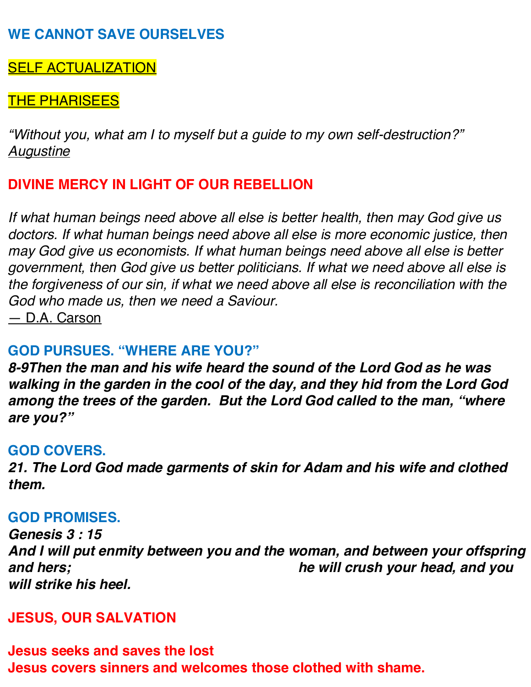### SELF ACTUALIZATION

#### THE PHARISEES

*"Without you, what am I to myself but a guide to my own self-destruction?" Augustine*

### **DIVINE MERCY IN LIGHT OF OUR REBELLION**

*If what human beings need above all else is better health, then may God give us*  doctors. If what human beings need above all else is more economic justice, then *may God give us economists. If what human beings need above all else is better government, then God give us better politicians. If what we need above all else is the forgiveness of our sin, if what we need above all else is reconciliation with the God who made us, then we need a Saviour.* 

— D.A. Carson

### **GOD PURSUES. "WHERE ARE YOU?"**

*8-9Then the man and his wife heard the sound of the Lord God as he was walking in the garden in the cool of the day, and they hid from the Lord God among the trees of the garden. But the Lord God called to the man, "where are you?"*

#### **GOD COVERS.**

*21. The Lord God made garments of skin for Adam and his wife and clothed them.*

#### **GOD PROMISES.**

*Genesis 3 : 15 And I will put enmity between you and the woman, and between your offspring and hers; he will crush your head, and you will strike his heel.*

#### **JESUS, OUR SALVATION**

**Jesus seeks and saves the lost Jesus covers sinners and welcomes those clothed with shame.**